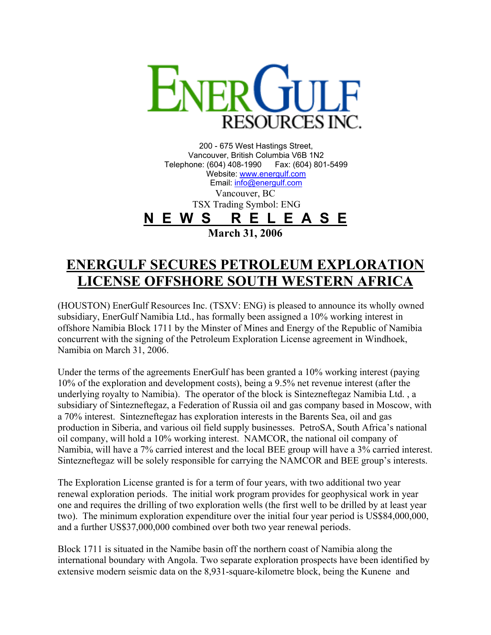

200 - 675 West Hastings Street, Vancouver, British Columbia V6B 1N2 Telephone: (604) 408-1990 Fax: (604) 801-5499 Website: [www.energulf.com](http://www.energulf.com/) Email: [info@energulf.com](mailto:info@energulf.com) Vancouver, BC TSX Trading Symbol: ENG **N E W S R E L E A S E March 31, 2006** 

## **ENERGULF SECURES PETROLEUM EXPLORATION LICENSE OFFSHORE SOUTH WESTERN AFRICA**

(HOUSTON) EnerGulf Resources Inc. (TSXV: ENG) is pleased to announce its wholly owned subsidiary, EnerGulf Namibia Ltd., has formally been assigned a 10% working interest in offshore Namibia Block 1711 by the Minster of Mines and Energy of the Republic of Namibia concurrent with the signing of the Petroleum Exploration License agreement in Windhoek, Namibia on March 31, 2006.

Under the terms of the agreements EnerGulf has been granted a 10% working interest (paying 10% of the exploration and development costs), being a 9.5% net revenue interest (after the underlying royalty to Namibia). The operator of the block is Sintezneftegaz Namibia Ltd. , a subsidiary of Sintezneftegaz, a Federation of Russia oil and gas company based in Moscow, with a 70% interest. Sintezneftegaz has exploration interests in the Barents Sea, oil and gas production in Siberia, and various oil field supply businesses. PetroSA, South Africa's national oil company, will hold a 10% working interest. NAMCOR, the national oil company of Namibia, will have a 7% carried interest and the local BEE group will have a 3% carried interest. Sintezneftegaz will be solely responsible for carrying the NAMCOR and BEE group's interests.

The Exploration License granted is for a term of four years, with two additional two year renewal exploration periods. The initial work program provides for geophysical work in year one and requires the drilling of two exploration wells (the first well to be drilled by at least year two). The minimum exploration expenditure over the initial four year period is US\$84,000,000, and a further US\$37,000,000 combined over both two year renewal periods.

Block 1711 is situated in the Namibe basin off the northern coast of Namibia along the international boundary with Angola. Two separate exploration prospects have been identified by extensive modern seismic data on the 8,931-square-kilometre block, being the Kunene and